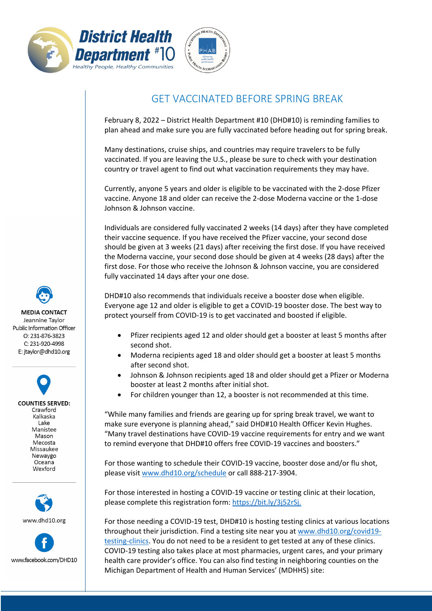



## GET VACCINATED BEFORE SPRING BREAK

February 8, 2022 – District Health Department #10 (DHD#10) is reminding families to plan ahead and make sure you are fully vaccinated before heading out for spring break.

Many destinations, cruise ships, and countries may require travelers to be fully vaccinated. If you are leaving the U.S., please be sure to check with your destination country or travel agent to find out what vaccination requirements they may have.

Currently, anyone 5 years and older is eligible to be vaccinated with the 2-dose Pfizer vaccine. Anyone 18 and older can receive the 2-dose Moderna vaccine or the 1-dose Johnson & Johnson vaccine.

Individuals are considered fully vaccinated 2 weeks (14 days) after they have completed their vaccine sequence. If you have received the Pfizer vaccine, your second dose should be given at 3 weeks (21 days) after receiving the first dose. If you have received the Moderna vaccine, your second dose should be given at 4 weeks (28 days) after the first dose. For those who receive the Johnson & Johnson vaccine, you are considered fully vaccinated 14 days after your one dose.

DHD#10 also recommends that individuals receive a booster dose when eligible. Everyone age 12 and older is eligible to get a COVID-19 booster dose. The best way to protect yourself from COVID-19 is to get vaccinated and boosted if eligible.

- Pfizer recipients aged 12 and older should get a booster at least 5 months after second shot.
- Moderna recipients aged 18 and older should get a booster at least 5 months after second shot.
- Johnson & Johnson recipients aged 18 and older should get a Pfizer or Moderna booster at least 2 months after initial shot.
- For children younger than 12, a booster is not recommended at this time.

"While many families and friends are gearing up for spring break travel, we want to make sure everyone is planning ahead," said DHD#10 Health Officer Kevin Hughes. "Many travel destinations have COVID-19 vaccine requirements for entry and we want to remind everyone that DHD#10 offers free COVID-19 vaccines and boosters."

For those wanting to schedule their COVID-19 vaccine, booster dose and/or flu shot, please visit [www.dhd10.org/schedule](http://www.dhd10.org/schedule) or call 888-217-3904.

For those interested in hosting a COVID-19 vaccine or testing clinic at their location, please complete this registration form: [https://bit.ly/3j52rSj.](https://bit.ly/3j52rSj)

For those needing a COVID-19 test, DHD#10 is hosting testing clinics at various locations throughout their jurisdiction. Find a testing site near you a[t www.dhd10.org/covid19](http://www.dhd10.org/covid19-testing-clinics) [testing-clinics.](http://www.dhd10.org/covid19-testing-clinics) You do not need to be a resident to get tested at any of these clinics. COVID-19 testing also takes place at most pharmacies, urgent cares, and your primary health care provider's office. You can also find testing in neighboring counties on the Michigan Department of Health and Human Services' (MDHHS) site:

**MEDIA CONTACT** Jeannine Taylor Public Information Officer  $O: 231 - 876 - 3823$ C: 231-920-4998

E: jtaylor@dhd10.org

**COUNTIES SERVED:** Crawford Kalkaska Lake Manistee Mason Mecosta Missaukee Newaygo Oceana Wexford